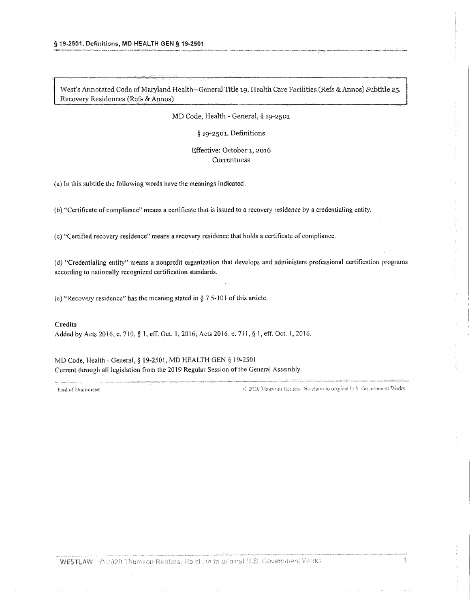MD Code, Health - General, § 19-2501

§ 19-2501. Definitions

## Effective: October 1, 2016 Currentness

(a) In this subtitle the following words have the meanings indicated.

(b) "Certificate of compliance" means a certificate that is issued to a recovery residence by a credentialing entity.

(c) "Certified recovery residence" means a recovery residence that holds a certificate of compliance.

(d) "Credentialing entity" means a nonprofit organization that develops and administers professional certification programs according to nationally recognized certification standards.

(e) "Recovery residence" has the meaning stated in  $\S 7.5$ -101 of this article.

### **Credits**

Added by Acts 2016, c. 710, § 1, eff. Oct. 1, 2016; Acts 2016, c. 711, § 1, eff. Oct. 1, 2016.

MD Code, Health - General, § 19-2501, MD HEALTH GEN § 19-2501 Current through all legislation from the 2019 Regular Session of the General Assembly,

**End of Document** 

45 2020 Thomson Reulers. No claim to original U.S. Government Works.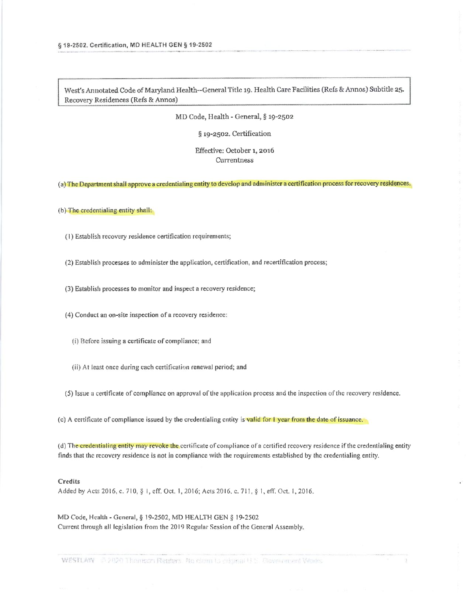MD Code, Health - General, § 19-2502

§ 19-2502. Certification

Effective: October 1, 2016 Currentness

(a) The Department shall approve a credentialing entity to develop and administer a certification process for recovery residences.

(b) The credentialing entity shall:

- (1) Establish recovery residence certification requirements;
- (2) Establish processes to administer the application, certification, and recertification process;
- (3) Establish processes to monitor and inspect a recovery residence;
- (4) Conduct an on-site inspection of a recovery residence:
	- (i) Before issuing a certificate of compliance; and
	- (ii) At least once during each certification renewal period; and
- (5) Issue a certificate of compliance on approval of the application process and the inspection of the recovery residence.
- (c) A certificate of compliance issued by the credentialing entity is valid for I year from the date of issuance.

(d) The credentialing entity may revoke the certificate of compliance of a certified recovery residence if the credentialing entity finds that the recovery residence is not in compliance with the requirements established by the credentialing entity.

## Credits

Added by Acts 2016, c. 710, § 1, eff. Oct. 1, 2016; Acts 2016, c. 711, § 1, eff. Oct. 1, 2016.

MD Code, Health - General, § 19-2502, MD HEALTH GEN § 19-2502 Current through all legislation from the 2019 Regular Session of the General Assembly,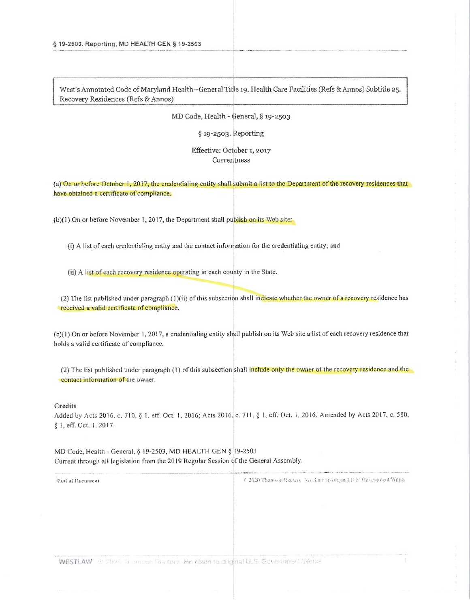MD Code, Health - General, § 19-2503

§ 19-2503. Reporting

# Effective: October 1, 2017 Currentness

(a) On or before October 1, 2017, the credentialing entity shall submit a list to the Department of the recovery residences that have obtained a certificate of compliance.

(b)(1) On or before November 1, 2017, the Department shall publish on its Web site:

(i) A list of each credentialing entity and the contact information for the credentialing entity; and

(ii) A list of each recovery residence operating in each county in the State.

(2) The list published under paragraph (1)(ii) of this subsection shall indicate whether the owner of a recovery residence has received a valid certificate of compliance.

(c)(1) On or before November 1, 2017, a credentialing entity shall publish on its Web site a list of each recovery residence that holds a valid certificate of compliance.

(2) The list published under paragraph (1) of this subsection shall include only the owner of the recovery residence and the contact information of the owner.

#### Credits

Added by Acts 2016, c. 710, § 1, eff. Oct. 1, 2016; Acts 2016, c. 711, § 1, eff. Oct. 1, 2016. Amended by Acts 2017, c. 580, § 1, eff. Oct. 1, 2017.

MD Code, Health - General, § 19-2503, MD HEALTH GEN § 19-2503 Current through all legislation from the 2019 Regular Session of the General Assembly.

Ead of Ducument

7-2020 Thomson Recters. No claim to expand U.S. Government Works.